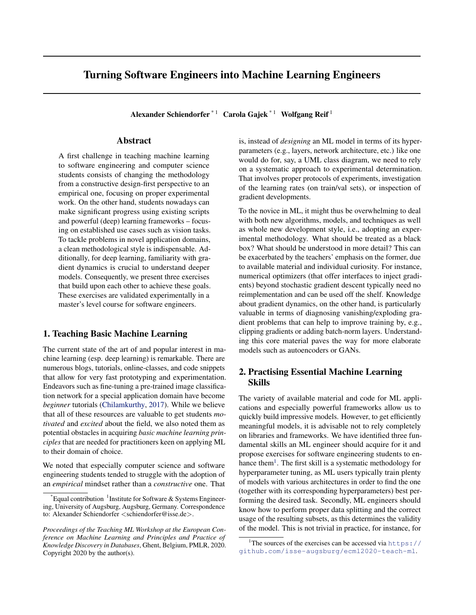# Turning Software Engineers into Machine Learning Engineers

Alexander Schiendorfer<sup>\*1</sup> Carola Gajek<sup>\*1</sup> Wolfgang Reif<sup>1</sup>

## Abstract

A first challenge in teaching machine learning to software engineering and computer science students consists of changing the methodology from a constructive design-first perspective to an empirical one, focusing on proper experimental work. On the other hand, students nowadays can make significant progress using existing scripts and powerful (deep) learning frameworks – focusing on established use cases such as vision tasks. To tackle problems in novel application domains, a clean methodological style is indispensable. Additionally, for deep learning, familiarity with gradient dynamics is crucial to understand deeper models. Consequently, we present three exercises that build upon each other to achieve these goals. These exercises are validated experimentally in a master's level course for software engineers.

# 1. Teaching Basic Machine Learning

The current state of the art of and popular interest in machine learning (esp. deep learning) is remarkable. There are numerous blogs, tutorials, online-classes, and code snippets that allow for very fast prototyping and experimentation. Endeavors such as fine-tuning a pre-trained image classification network for a special application domain have become *beginner* tutorials [\(Chilamkurthy,](#page-4-0) [2017\)](#page-4-0). While we believe that all of these resources are valuable to get students *motivated* and *excited* about the field, we also noted them as potential obstacles in acquiring *basic machine learning principles* that are needed for practitioners keen on applying ML to their domain of choice.

We noted that especially computer science and software engineering students tended to struggle with the adoption of an *empirical* mindset rather than a *constructive* one. That is, instead of *designing* an ML model in terms of its hyperparameters (e.g., layers, network architecture, etc.) like one would do for, say, a UML class diagram, we need to rely on a systematic approach to experimental determination. That involves proper protocols of experiments, investigation of the learning rates (on train/val sets), or inspection of gradient developments.

To the novice in ML, it might thus be overwhelming to deal with both new algorithms, models, and techniques as well as whole new development style, i.e., adopting an experimental methodology. What should be treated as a black box? What should be understood in more detail? This can be exacerbated by the teachers' emphasis on the former, due to available material and individual curiosity. For instance, numerical optimizers (that offer interfaces to inject gradients) beyond stochastic gradient descent typically need no reimplementation and can be used off the shelf. Knowledge about gradient dynamics, on the other hand, is particularly valuable in terms of diagnosing vanishing/exploding gradient problems that can help to improve training by, e.g., clipping gradients or adding batch-norm layers. Understanding this core material paves the way for more elaborate models such as autoencoders or GANs.

# 2. Practising Essential Machine Learning Skills

The variety of available material and code for ML applications and especially powerful frameworks allow us to quickly build impressive models. However, to get efficiently meaningful models, it is advisable not to rely completely on libraries and frameworks. We have identified three fundamental skills an ML engineer should acquire for it and propose exercises for software engineering students to enhance them<sup>1</sup>. The first skill is a systematic methodology for hyperparameter tuning, as ML users typically train plenty of models with various architectures in order to find the one (together with its corresponding hyperparameters) best performing the desired task. Secondly, ML engineers should know how to perform proper data splitting and the correct usage of the resulting subsets, as this determines the validity of the model. This is not trivial in practice, for instance, for

 $*$ Equal contribution  $1$ Institute for Software & Systems Engineering, University of Augsburg, Augsburg, Germany. Correspondence to: Alexander Schiendorfer <schiendorfer@isse.de>.

*Proceedings of the Teaching ML Workshop at the European Conference on Machine Learning and Principles and Practice of Knowledge Discovery in Databases*, Ghent, Belgium, PMLR, 2020. Copyright 2020 by the author(s).

<sup>&</sup>lt;sup>1</sup>The sources of the exercises can be accessed via [https://](https://github.com/isse-augsburg/ecml2020-teach-ml) [github.com/isse-augsburg/ecml2020-teach-ml](https://github.com/isse-augsburg/ecml2020-teach-ml).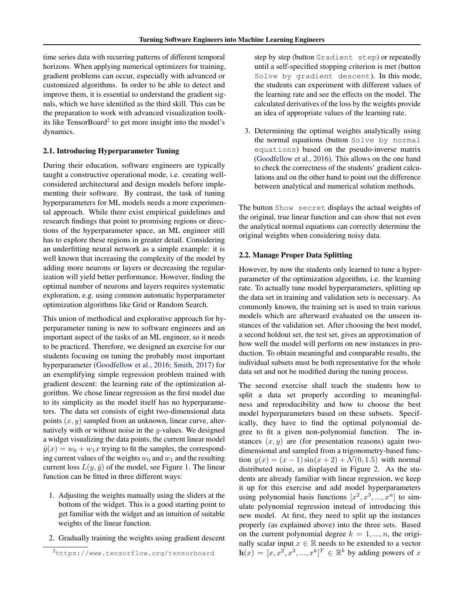time series data with recurring patterns of different temporal horizons. When applying numerical optimizers for training, gradient problems can occur, especially with advanced or customized algorithms. In order to be able to detect and improve them, it is essential to understand the gradient signals, which we have identified as the third skill. This can be the preparation to work with advanced visualization toolkits like TensorBoard<sup>2</sup> to get more insight into the model's dynamics.

#### 2.1. Introducing Hyperparameter Tuning

During their education, software engineers are typically taught a constructive operational mode, i.e. creating wellconsidered architectural and design models before implementing their software. By contrast, the task of tuning hyperparameters for ML models needs a more experimental approach. While there exist empirical guidelines and research findings that point to promising regions or directions of the hyperparameter space, an ML engineer still has to explore these regions in greater detail. Considering an underfitting neural network as a simple example: it is well known that increasing the complexity of the model by adding more neurons or layers or decreasing the regularization will yield better performance. However, finding the optimal number of neurons and layers requires systematic exploration, e.g. using common automatic hyperparameter optimization algorithms like Grid or Random Search.

This union of methodical and explorative approach for hyperparameter tuning is new to software engineers and an important aspect of the tasks of an ML engineer, so it needs to be practiced. Therefore, we designed an exercise for our students focusing on tuning the probably most important hyperparameter [\(Goodfellow et al.,](#page-4-0) [2016;](#page-4-0) [Smith,](#page-4-0) [2017\)](#page-4-0) for an exemplifying simple regression problem trained with gradient descent: the learning rate of the optimization algorithm. We chose linear regression as the first model due to its simplicity as the model itself has no hyperparameters. The data set consists of eight two-dimensional data points  $(x, y)$  sampled from an unknown, linear curve, alternatively with or without noise in the y-values. We designed a widget visualizing the data points, the current linear model  $\hat{y}(x) = w_0 + w_1x$  trying to fit the samples, the corresponding current values of the weights  $w_0$  and  $w_1$  and the resulting current loss  $L(y, \hat{y})$  of the model, see Figure [1.](#page-2-0) The linear function can be fitted in three different ways:

- 1. Adjusting the weights manually using the sliders at the bottom of the widget. This is a good starting point to get familiar with the widget and an intuition of suitable weights of the linear function.
- 2. Gradually training the weights using gradient descent

step by step (button Gradient step) or repeatedly until a self-specified stopping criterion is met (button Solve by gradient descent). In this mode, the students can experiment with different values of the learning rate and see the effects on the model. The calculated derivatives of the loss by the weights provide an idea of appropriate values of the learning rate.

3. Determining the optimal weights analytically using the normal equations (button Solve by normal equations) based on the pseudo-inverse matrix [\(Goodfellow et al.,](#page-4-0) [2016\)](#page-4-0). This allows on the one hand to check the correctness of the students' gradient calculations and on the other hand to point out the difference between analytical and numerical solution methods.

The button Show secret displays the actual weights of the original, true linear function and can show that not even the analytical normal equations can correctly determine the original weights when considering noisy data.

#### 2.2. Manage Proper Data Splitting

However, by now the students only learned to tune a hyperparameter of the optimization algorithm, i.e. the learning rate. To actually tune model hyperparameters, splitting up the data set in training and validation sets is necessary. As commonly known, the training set is used to train various models which are afterward evaluated on the unseen instances of the validation set. After choosing the best model, a second holdout set, the test set, gives an approximation of how well the model will perform on new instances in production. To obtain meaningful and comparable results, the individual subsets must be both representative for the whole data set and not be modified during the tuning process.

The second exercise shall teach the students how to split a data set properly according to meaningfulness and reproducibility and how to choose the best model hyperparameters based on these subsets. Specifically, they have to find the optimal polynomial degree to fit a given non-polynomial function. The instances  $(x, y)$  are (for presentation reasons) again twodimensional and sampled from a trigonometry-based function  $y(x) = (x - 1) \sin(x + 2) + \mathcal{N}(0, 1.5)$  with normal distributed noise, as displayed in Figure [2.](#page-2-0) As the students are already familiar with linear regression, we keep it up for this exercise and add model hyperparameters using polynomial basis functions  $[x^2, x^3, ..., x^n]$  to simulate polynomial regression instead of introducing this new model. At first, they need to split up the instances properly (as explained above) into the three sets. Based on the current polynomial degree  $k = 1, ..., n$ , the originally scalar input  $x \in \mathbb{R}$  needs to be extended to a vector  $h(x) = [x, x^2, x^3, ..., x^k]^T \in \mathbb{R}^k$  by adding powers of x

<sup>2</sup><https://www.tensorflow.org/tensorboard>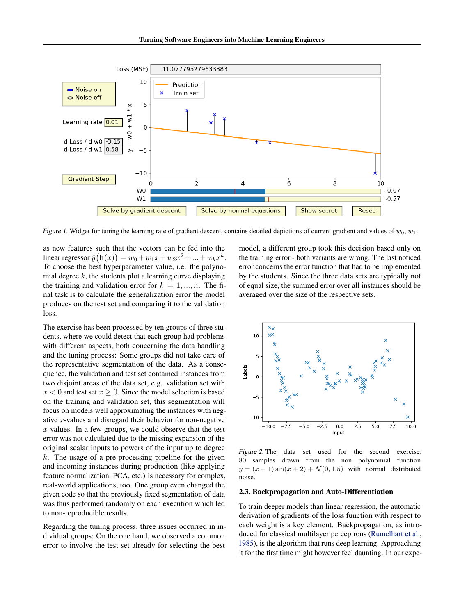<span id="page-2-0"></span>

Figure 1. Widget for tuning the learning rate of gradient descent, contains detailed depictions of current gradient and values of  $w_0$ ,  $w_1$ .

as new features such that the vectors can be fed into the linear regressor  $\hat{y}(\mathbf{h}(x)) = w_0 + w_1 x + w_2 x^2 + ... + w_k x^k$ . To choose the best hyperparameter value, i.e. the polynomial degree  $k$ , the students plot a learning curve displaying the training and validation error for  $k = 1, ..., n$ . The final task is to calculate the generalization error the model produces on the test set and comparing it to the validation loss.

The exercise has been processed by ten groups of three students, where we could detect that each group had problems with different aspects, both concerning the data handling and the tuning process: Some groups did not take care of the representative segmentation of the data. As a consequence, the validation and test set contained instances from two disjoint areas of the data set, e.g. validation set with  $x < 0$  and test set  $x \ge 0$ . Since the model selection is based on the training and validation set, this segmentation will focus on models well approximating the instances with negative x-values and disregard their behavior for non-negative  $x$ -values. In a few groups, we could observe that the test error was not calculated due to the missing expansion of the original scalar inputs to powers of the input up to degree  $k$ . The usage of a pre-processing pipeline for the given and incoming instances during production (like applying feature normalization, PCA, etc.) is necessary for complex, real-world applications, too. One group even changed the given code so that the previously fixed segmentation of data was thus performed randomly on each execution which led to non-reproducible results.

Regarding the tuning process, three issues occurred in individual groups: On the one hand, we observed a common error to involve the test set already for selecting the best

model, a different group took this decision based only on the training error - both variants are wrong. The last noticed error concerns the error function that had to be implemented by the students. Since the three data sets are typically not of equal size, the summed error over all instances should be averaged over the size of the respective sets.



Figure 2. The data set used for the second exercise: 80 samples drawn from the non polynomial function  $y = (x - 1)\sin(x + 2) + \mathcal{N}(0, 1.5)$  with normal distributed noise.

#### 2.3. Backpropagation and Auto-Differentiation

To train deeper models than linear regression, the automatic derivation of gradients of the loss function with respect to each weight is a key element. Backpropagation, as introduced for classical multilayer perceptrons [\(Rumelhart et al.,](#page-4-0) [1985\)](#page-4-0), is the algorithm that runs deep learning. Approaching it for the first time might however feel daunting. In our expe-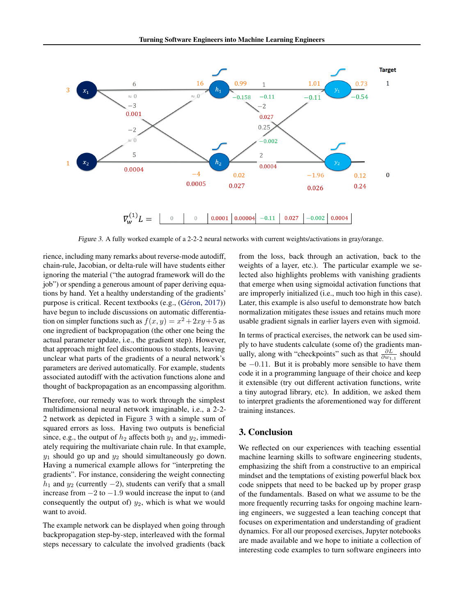

Figure 3. A fully worked example of a 2-2-2 neural networks with current weights/activations in gray/orange.

rience, including many remarks about reverse-mode autodiff, chain-rule, Jacobian, or delta-rule will have students either ignoring the material ("the autograd framework will do the job") or spending a generous amount of paper deriving equations by hand. Yet a healthy understanding of the gradients' purpose is critical. Recent textbooks (e.g., (Géron, [2017\)](#page-4-0)) have begun to include discussions on automatic differentiation on simpler functions such as  $f(x, y) = x^2 + 2xy + 5$  as one ingredient of backpropagation (the other one being the actual parameter update, i.e., the gradient step). However, that approach might feel discontinuous to students, leaving unclear what parts of the gradients of a neural network's parameters are derived automatically. For example, students associated autodiff with the activation functions alone and thought of backpropagation as an encompassing algorithm.

Therefore, our remedy was to work through the simplest multidimensional neural network imaginable, i.e., a 2-2- 2 network as depicted in Figure 3 with a simple sum of squared errors as loss. Having two outputs is beneficial since, e.g., the output of  $h_2$  affects both  $y_1$  and  $y_2$ , immediately requiring the multivariate chain rule. In that example,  $y_1$  should go up and  $y_2$  should simultaneously go down. Having a numerical example allows for "interpreting the gradients". For instance, considering the weight connecting  $h_1$  and  $y_2$  (currently  $-2$ ), students can verify that a small increase from  $-2$  to  $-1.9$  would increase the input to (and consequently the output of)  $y_2$ , which is what we would want to avoid.

The example network can be displayed when going through backpropagation step-by-step, interleaved with the formal steps necessary to calculate the involved gradients (back from the loss, back through an activation, back to the weights of a layer, etc.). The particular example we selected also highlights problems with vanishing gradients that emerge when using sigmoidal activation functions that are improperly initialized (i.e., much too high in this case). Later, this example is also useful to demonstrate how batch normalization mitigates these issues and retains much more usable gradient signals in earlier layers even with sigmoid.

In terms of practical exercises, the network can be used simply to have students calculate (some of) the gradients manually, along with "checkpoints" such as that  $\frac{\partial L}{\partial w_{1,1}}$  should be  $-0.11$ . But it is probably more sensible to have them code it in a programming language of their choice and keep it extensible (try out different activation functions, write a tiny autograd library, etc). In addition, we asked them to interpret gradients the aforementioned way for different training instances.

## 3. Conclusion

We reflected on our experiences with teaching essential machine learning skills to software engineering students, emphasizing the shift from a constructive to an empirical mindset and the temptations of existing powerful black box code snippets that need to be backed up by proper grasp of the fundamentals. Based on what we assume to be the more frequently recurring tasks for ongoing machine learning engineers, we suggested a lean teaching concept that focuses on experimentation and understanding of gradient dynamics. For all our proposed exercises, Jupyter notebooks are made available and we hope to initiate a collection of interesting code examples to turn software engineers into